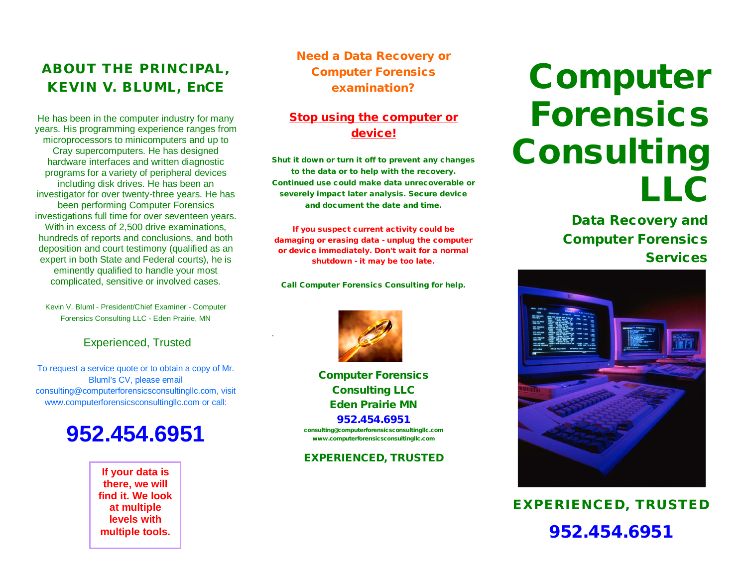### ABOUT THE PRINCIPAL, KEVIN V. BLUML, EnCE

He has been in the computer industry for many years. His programming experience ranges from microprocessors to minicomputers and up to Cray supercomputers. He has designed hardware interfaces and written diagnostic programs for a variety of peripheral devices including disk drives. He has been an investigator for over twenty-three years. He has been performing Computer Forensics investigations full time for over seventeen years. With in excess of 2,500 drive examinations. hundreds of reports and conclusions, and both deposition and court testimony (qualified as an expert in both State and Federal courts), he is eminently qualified to handle your most complicated, sensitive or involved cases.

Kevin V. Bluml - President/Chief Examiner - Computer Forensics Consulting LLC - Eden Prairie, MN

#### Experienced, Trusted

To request a service quote or to obtain a copy of Mr. Bluml's CV, please email consulting@computerforensicsconsultingllc.com, visit www.computerforensicsconsultingllc.com or call:

## **952.454.6951**

**If your data is there, we will find it. We look at multiple levels with multiple tools.**

Need a Data Recovery or Computer Forensics examination?

#### Stop using the computer or device!

Shut it down or turn it off to prevent any changes to the data or to help with the recovery. Continued use could make data unrecoverable or severely impact later analysis. Secure device and document the date and time.

If you suspect current activity could be damaging or erasing data - unplug the computer or device immediately. Don't wait for a normal shutdown - it may be too late.

Call Computer Forensics Consulting for help.



.

Computer Forensics Consulting LLC Eden Prairie MN 952.454.6951 consulting@computerforensicsconsultingllc.com

www.computerforensicsconsultingllc.com

EXPERIENCED, TRUSTED

# Computer Forensics Consulting LLC

Data Recovery and Computer Forensics **Services** 



EXPERIENCED, TRUSTED 952.454.6951